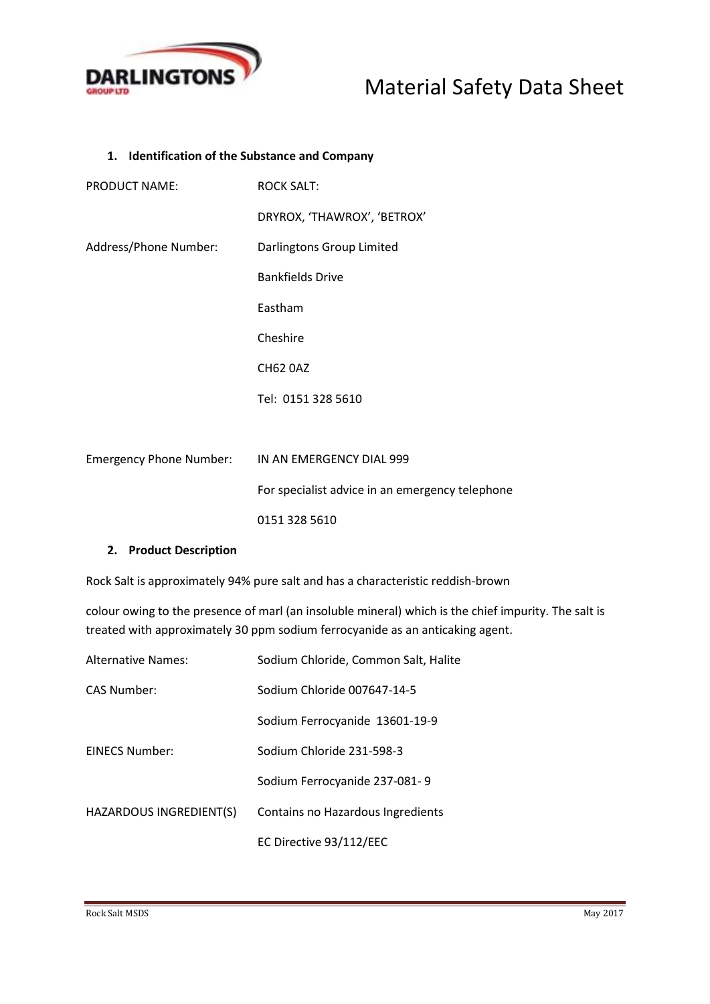

## **1. Identification of the Substance and Company**

| <b>PRODUCT NAME:</b>  | <b>ROCK SALT:</b>                                |
|-----------------------|--------------------------------------------------|
|                       | DRYROX, 'THAWROX', 'BETROX'                      |
| Address/Phone Number: | Darlingtons Group Limited                        |
|                       | <b>Bankfields Drive</b>                          |
|                       | Eastham                                          |
|                       | Cheshire                                         |
|                       | <b>CH62 0AZ</b>                                  |
|                       | Tel: 0151 328 5610                               |
|                       |                                                  |
|                       | Emergency Phone Number: IN AN EMERGENCY DIAL 999 |
|                       | For specialist advice in an emergency telephone  |

**2. Product Description**

Rock Salt is approximately 94% pure salt and has a characteristic reddish-brown

0151 328 5610

colour owing to the presence of marl (an insoluble mineral) which is the chief impurity. The salt is treated with approximately 30 ppm sodium ferrocyanide as an anticaking agent.

| <b>Alternative Names:</b> | Sodium Chloride, Common Salt, Halite |
|---------------------------|--------------------------------------|
| <b>CAS Number:</b>        | Sodium Chloride 007647-14-5          |
|                           | Sodium Ferrocyanide 13601-19-9       |
| <b>FINECS Number:</b>     | Sodium Chloride 231-598-3            |
|                           | Sodium Ferrocyanide 237-081-9        |
| HAZARDOUS INGREDIENT(S)   | Contains no Hazardous Ingredients    |
|                           | EC Directive 93/112/EEC              |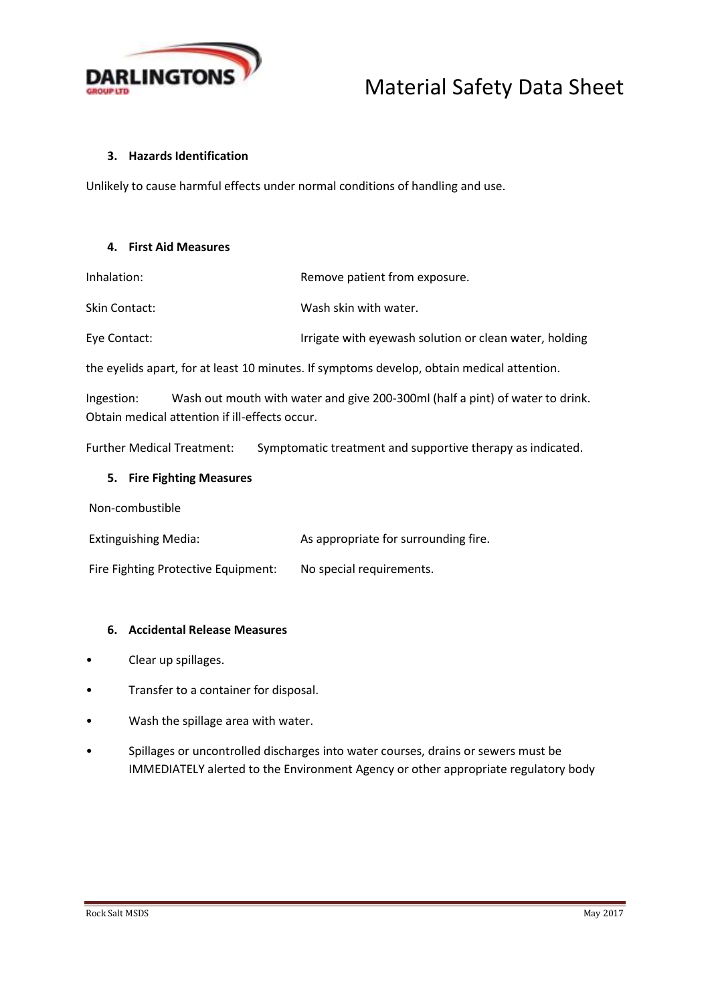

## **3. Hazards Identification**

Unlikely to cause harmful effects under normal conditions of handling and use.

## **4. First Aid Measures**

Inhalation: The Remove patient from exposure.

Skin Contact: Wash skin with water.

Eye Contact: **Interpretiate with eyewash solution or clean water, holding** 

the eyelids apart, for at least 10 minutes. If symptoms develop, obtain medical attention.

Ingestion: Wash out mouth with water and give 200-300ml (half a pint) of water to drink. Obtain medical attention if ill-effects occur.

Further Medical Treatment: Symptomatic treatment and supportive therapy as indicated.

## **5. Fire Fighting Measures**

Non-combustible

Extinguishing Media: As appropriate for surrounding fire.

Fire Fighting Protective Equipment: No special requirements.

## **6. Accidental Release Measures**

- Clear up spillages.
- Transfer to a container for disposal.
- Wash the spillage area with water.
- Spillages or uncontrolled discharges into water courses, drains or sewers must be IMMEDIATELY alerted to the Environment Agency or other appropriate regulatory body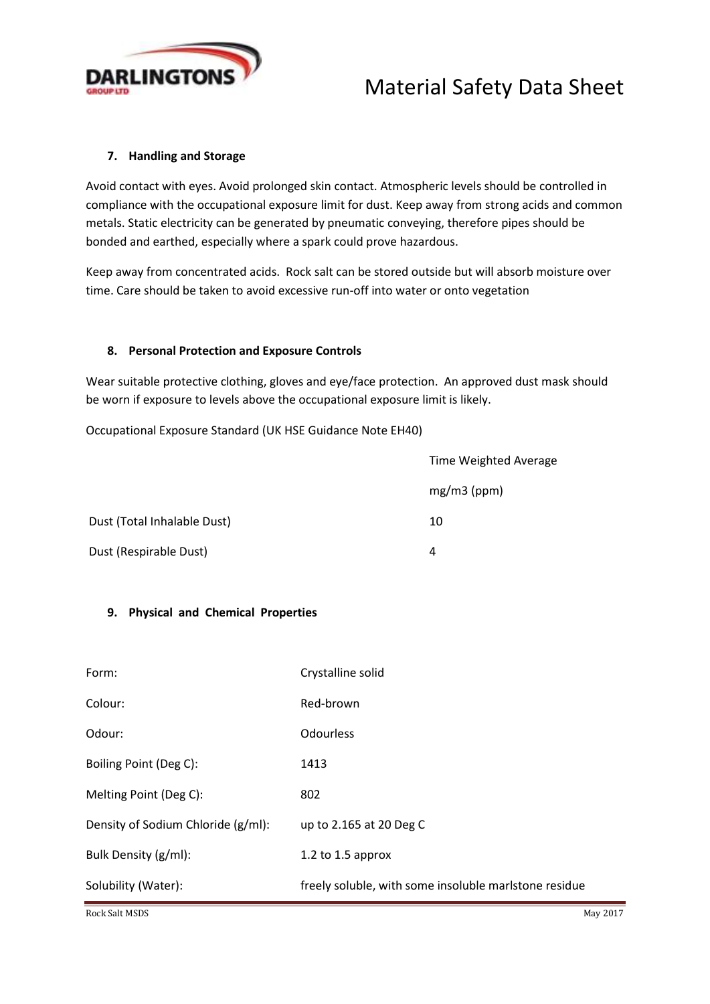

## **7. Handling and Storage**

Avoid contact with eyes. Avoid prolonged skin contact. Atmospheric levels should be controlled in compliance with the occupational exposure limit for dust. Keep away from strong acids and common metals. Static electricity can be generated by pneumatic conveying, therefore pipes should be bonded and earthed, especially where a spark could prove hazardous.

Keep away from concentrated acids. Rock salt can be stored outside but will absorb moisture over time. Care should be taken to avoid excessive run-off into water or onto vegetation

## **8. Personal Protection and Exposure Controls**

Wear suitable protective clothing, gloves and eye/face protection. An approved dust mask should be worn if exposure to levels above the occupational exposure limit is likely.

Occupational Exposure Standard (UK HSE Guidance Note EH40)

|                             | <b>Time Weighted Average</b> |  |
|-----------------------------|------------------------------|--|
|                             | $mg/m3$ (ppm)                |  |
| Dust (Total Inhalable Dust) | 10                           |  |
| Dust (Respirable Dust)      | 4                            |  |

## **9. Physical and Chemical Properties**

| Form:                              | Crystalline solid                                     |
|------------------------------------|-------------------------------------------------------|
| Colour:                            | Red-brown                                             |
| Odour:                             | <b>Odourless</b>                                      |
| Boiling Point (Deg C):             | 1413                                                  |
| Melting Point (Deg C):             | 802                                                   |
| Density of Sodium Chloride (g/ml): | up to 2.165 at 20 Deg C                               |
| Bulk Density (g/ml):               | 1.2 to 1.5 approx                                     |
| Solubility (Water):                | freely soluble, with some insoluble maristone residue |

Rock Salt MSDS May 2017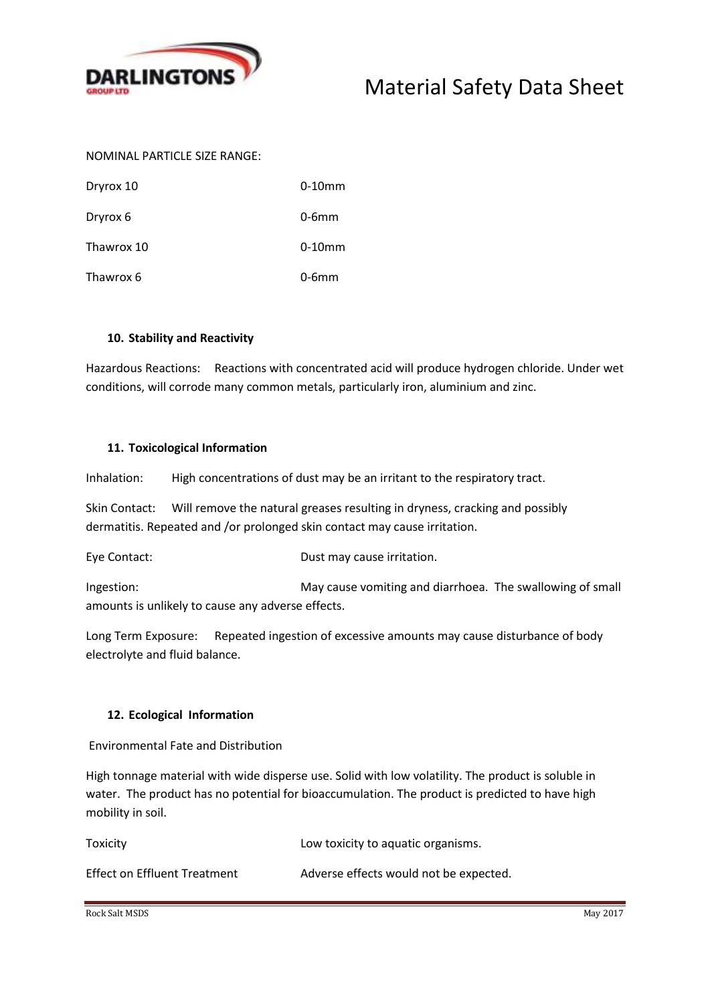

## NOMINAL PARTICLE SIZE RANGE:

| Dryrox 10  | $0-10$ mm |
|------------|-----------|
| Dryrox 6   | $0-6mm$   |
| Thawrox 10 | $0-10$ mm |
| Thawrox 6  | $0-6mm$   |

## **10. Stability and Reactivity**

Hazardous Reactions: Reactions with concentrated acid will produce hydrogen chloride. Under wet conditions, will corrode many common metals, particularly iron, aluminium and zinc.

#### **11. Toxicological Information**

Inhalation: High concentrations of dust may be an irritant to the respiratory tract.

Skin Contact: Will remove the natural greases resulting in dryness, cracking and possibly dermatitis. Repeated and /or prolonged skin contact may cause irritation.

Eye Contact: Dust may cause irritation.

Ingestion: May cause vomiting and diarrhoea. The swallowing of small amounts is unlikely to cause any adverse effects.

Long Term Exposure: Repeated ingestion of excessive amounts may cause disturbance of body electrolyte and fluid balance.

## **12. Ecological Information**

Environmental Fate and Distribution

High tonnage material with wide disperse use. Solid with low volatility. The product is soluble in water. The product has no potential for bioaccumulation. The product is predicted to have high mobility in soil.

Toxicity Low toxicity to aquatic organisms.

| <b>Effect on Effluent Treatment</b> | Adverse effects would not be expected. |
|-------------------------------------|----------------------------------------|

Rock Salt MSDS May 2017